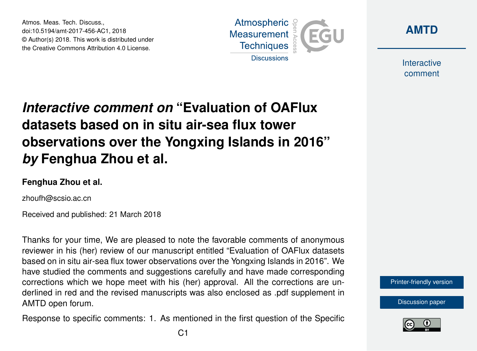Atmos. Meas. Tech. Discuss., doi:10.5194/amt-2017-456-AC1, 2018 © Author(s) 2018. This work is distributed under the Creative Commons Attribution 4.0 License.





Interactive comment

# *Interactive comment on* **"Evaluation of OAFlux datasets based on in situ air-sea flux tower observations over the Yongxing Islands in 2016"** *by* **Fenghua Zhou et al.**

### **Fenghua Zhou et al.**

zhoufh@scsio.ac.cn

Received and published: 21 March 2018

Thanks for your time, We are pleased to note the favorable comments of anonymous reviewer in his (her) review of our manuscript entitled "Evaluation of OAFlux datasets based on in situ air-sea flux tower observations over the Yongxing Islands in 2016". We have studied the comments and suggestions carefully and have made corresponding corrections which we hope meet with his (her) approval. All the corrections are underlined in red and the revised manuscripts was also enclosed as .pdf supplement in AMTD open forum.

Response to specific comments: 1. As mentioned in the first question of the Specific



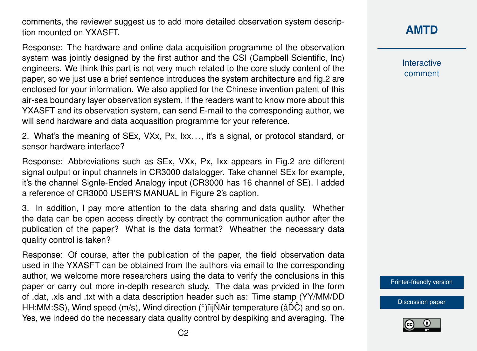comments, the reviewer suggest us to add more detailed observation system description mounted on YXASFT.

Response: The hardware and online data acquisition programme of the observation system was jointly designed by the first author and the CSI (Campbell Scientific, Inc) engineers. We think this part is not very much related to the core study content of the paper, so we just use a brief sentence introduces the system architecture and fig.2 are enclosed for your information. We also applied for the Chinese invention patent of this air-sea boundary layer observation system, if the readers want to know more about this YXASFT and its observation system, can send E-mail to the corresponding author, we will send hardware and data acquasition programme for your reference.

2. What's the meaning of SEx, VXx, Px, Ixx. . ., it's a signal, or protocol standard, or sensor hardware interface?

Response: Abbreviations such as SEx, VXx, Px, Ixx appears in Fig.2 are different signal output or input channels in CR3000 datalogger. Take channel SEx for example, it's the channel Signle-Ended Analogy input (CR3000 has 16 channel of SE). I added a reference of CR3000 USER'S MANUAL in Figure 2's caption.

3. In addition, I pay more attention to the data sharing and data quality. Whether the data can be open access directly by contract the communication author after the publication of the paper? What is the data format? Wheather the necessary data quality control is taken?

Response: Of course, after the publication of the paper, the field observation data used in the YXASFT can be obtained from the authors via email to the corresponding author, we welcome more researchers using the data to verify the conclusions in this paper or carry out more in-depth research study. The data was prvided in the form of .dat, .xls and .txt with a data description header such as: Time stamp (YY/MM/DD HH:MM:SS), Wind speed (m/s), Wind direction (°)ïijŇAir temperature (âĎČ) and so on. Yes, we indeed do the necessary data quality control by despiking and averaging. The **Interactive** comment

[Printer-friendly version](https://www.atmos-meas-tech-discuss.net/amt-2017-456/amt-2017-456-AC1-print.pdf)

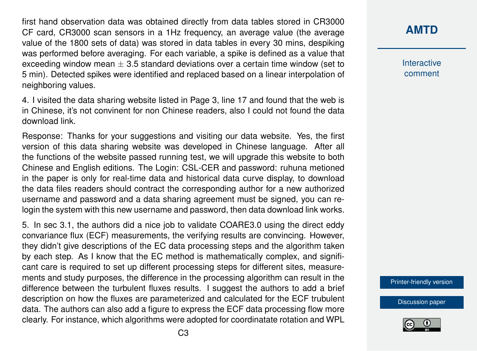first hand observation data was obtained directly from data tables stored in CR3000 CF card, CR3000 scan sensors in a 1Hz frequency, an average value (the average value of the 1800 sets of data) was stored in data tables in every 30 mins, despiking was performed before averaging. For each variable, a spike is defined as a value that exceeding window mean  $\pm$  3.5 standard deviations over a certain time window (set to 5 min). Detected spikes were identified and replaced based on a linear interpolation of neighboring values.

4. I visited the data sharing website listed in Page 3, line 17 and found that the web is in Chinese, it's not convinent for non Chinese readers, also I could not found the data download link.

Response: Thanks for your suggestions and visiting our data website. Yes, the first version of this data sharing website was developed in Chinese language. After all the functions of the website passed running test, we will upgrade this website to both Chinese and English editions. The Login: CSL-CER and password: ruhuna metioned in the paper is only for real-time data and historical data curve display, to download the data files readers should contract the corresponding author for a new authorized username and password and a data sharing agreement must be signed, you can relogin the system with this new username and password, then data download link works.

5. In sec 3.1, the authors did a nice job to validate COARE3.0 using the direct eddy convariance flux (ECF) measurements, the verifying results are convincing. However, they didn't give descriptions of the EC data processing steps and the algorithm taken by each step. As I know that the EC method is mathematically complex, and significant care is required to set up different processing steps for different sites, measurements and study purposes, the difference in the processing algorithm can result in the difference between the turbulent fluxes results. I suggest the authors to add a brief description on how the fluxes are parameterized and calculated for the ECF trubulent data. The authors can also add a figure to express the ECF data processing flow more clearly. For instance, which algorithms were adopted for coordinatate rotation and WPL

**[AMTD](https://www.atmos-meas-tech-discuss.net/)**

Interactive comment

[Printer-friendly version](https://www.atmos-meas-tech-discuss.net/amt-2017-456/amt-2017-456-AC1-print.pdf)

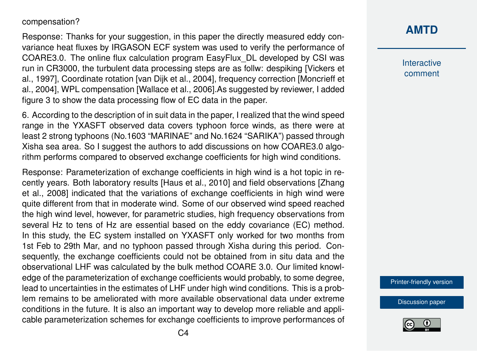#### compensation?

Response: Thanks for your suggestion, in this paper the directly measured eddy convariance heat fluxes by IRGASON ECF system was used to verify the performance of COARE3.0. The online flux calculation program EasyFlux\_DL developed by CSI was run in CR3000, the turbulent data processing steps are as follw: despiking [Vickers et al., 1997], Coordinate rotation [van Dijk et al., 2004], frequency correction [Moncrieff et al., 2004], WPL compensation [Wallace et al., 2006].As suggested by reviewer, I added figure 3 to show the data processing flow of EC data in the paper.

6. According to the description of in suit data in the paper, I realized that the wind speed range in the YXASFT observed data covers typhoon force winds, as there were at least 2 strong typhoons (No.1603 "MARINAE" and No.1624 "SARIKA") passed through Xisha sea area. So I suggest the authors to add discussions on how COARE3.0 algorithm performs compared to observed exchange coefficients for high wind conditions.

Response: Parameterization of exchange coefficients in high wind is a hot topic in recently years. Both laboratory results [Haus et al., 2010] and field observations [Zhang et al., 2008] indicated that the variations of exchange coefficients in high wind were quite different from that in moderate wind. Some of our observed wind speed reached the high wind level, however, for parametric studies, high frequency observations from several Hz to tens of Hz are essential based on the eddy covariance (EC) method. In this study, the EC system installed on YXASFT only worked for two months from 1st Feb to 29th Mar, and no typhoon passed through Xisha during this period. Consequently, the exchange coefficients could not be obtained from in situ data and the observational LHF was calculated by the bulk method COARE 3.0. Our limited knowledge of the parameterization of exchange coefficients would probably, to some degree, lead to uncertainties in the estimates of LHF under high wind conditions. This is a problem remains to be ameliorated with more available observational data under extreme conditions in the future. It is also an important way to develop more reliable and applicable parameterization schemes for exchange coefficients to improve performances of

## **[AMTD](https://www.atmos-meas-tech-discuss.net/)**

Interactive comment

[Printer-friendly version](https://www.atmos-meas-tech-discuss.net/amt-2017-456/amt-2017-456-AC1-print.pdf)